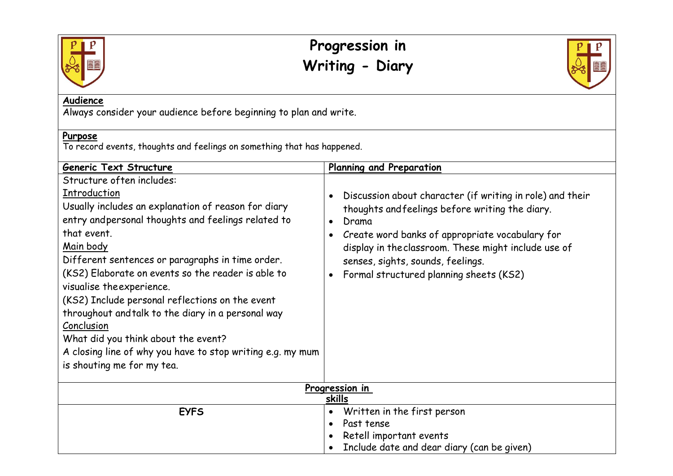

## **Progression in Writing - Diary**



## **Audience**

Always consider your audience before beginning to plan and write.

## **Purpose**

To record events, thoughts and feelings on something that has happened.

| Generic Text Structure                                                                                                                                                                                                                                                                                                                                                                                                                                                                                                                                                               | Planning and Preparation                                                                                                                                                                                                                                                                                                                                             |
|--------------------------------------------------------------------------------------------------------------------------------------------------------------------------------------------------------------------------------------------------------------------------------------------------------------------------------------------------------------------------------------------------------------------------------------------------------------------------------------------------------------------------------------------------------------------------------------|----------------------------------------------------------------------------------------------------------------------------------------------------------------------------------------------------------------------------------------------------------------------------------------------------------------------------------------------------------------------|
| Structure often includes:<br>Introduction<br>Usually includes an explanation of reason for diary<br>entry and personal thoughts and feelings related to<br>that event.<br>Main body<br>Different sentences or paragraphs in time order.<br>(KS2) Elaborate on events so the reader is able to<br>visualise the experience.<br>(KS2) Include personal reflections on the event<br>throughout and talk to the diary in a personal way<br>Conclusion<br>What did you think about the event?<br>A closing line of why you have to stop writing e.g. my mum<br>is shouting me for my tea. | Discussion about character (if writing in role) and their<br>$\bullet$<br>thoughts and feelings before writing the diary.<br>Drama<br>$\bullet$<br>Create word banks of appropriate vocabulary for<br>$\bullet$<br>display in the classroom. These might include use of<br>senses, sights, sounds, feelings.<br>Formal structured planning sheets (KS2)<br>$\bullet$ |
| Progression in<br>skills                                                                                                                                                                                                                                                                                                                                                                                                                                                                                                                                                             |                                                                                                                                                                                                                                                                                                                                                                      |
| <b>EYFS</b>                                                                                                                                                                                                                                                                                                                                                                                                                                                                                                                                                                          | Written in the first person<br>$\bullet$<br>Past tense<br>$\bullet$<br>Retell important events<br>Include date and dear diary (can be given)                                                                                                                                                                                                                         |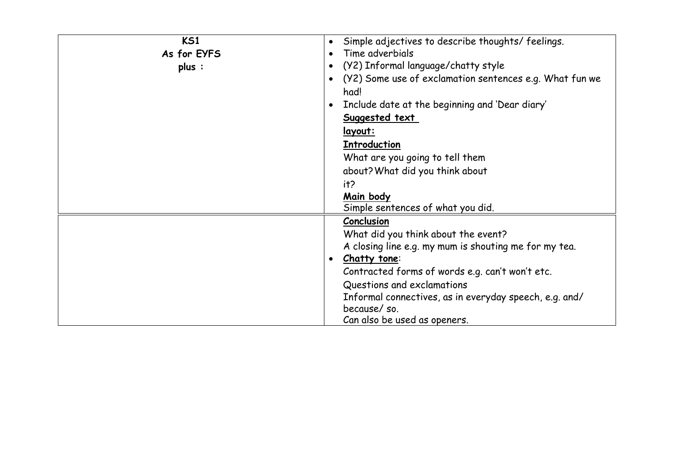| <b>KS1</b><br>As for EYFS<br>plus : | Simple adjectives to describe thoughts/feelings.<br>$\bullet$<br>Time adverbials<br>(Y2) Informal language/chatty style<br>$\bullet$<br>(Y2) Some use of exclamation sentences e.g. What fun we<br>$\bullet$<br>had!<br>Include date at the beginning and 'Dear diary'<br>Suggested text<br><u>layout:</u><br><b>Introduction</b><br>What are you going to tell them<br>about? What did you think about<br>it?<br>Main body<br>Simple sentences of what you did. |
|-------------------------------------|------------------------------------------------------------------------------------------------------------------------------------------------------------------------------------------------------------------------------------------------------------------------------------------------------------------------------------------------------------------------------------------------------------------------------------------------------------------|
|                                     | Conclusion<br>What did you think about the event?<br>A closing line e.g. my mum is shouting me for my tea.<br>Chatty tone:<br>$\bullet$<br>Contracted forms of words e.g. can't won't etc.<br>Questions and exclamations<br>Informal connectives, as in everyday speech, e.g. and/<br>because/so.<br>Can also be used as openers.                                                                                                                                |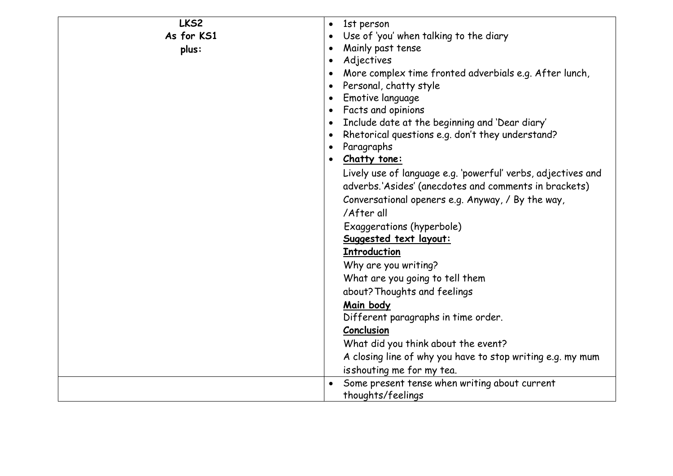| LKS2       | 1st person<br>$\bullet$                                             |
|------------|---------------------------------------------------------------------|
| As for KS1 | Use of 'you' when talking to the diary                              |
| plus:      | Mainly past tense<br>$\bullet$                                      |
|            | Adjectives<br>$\bullet$                                             |
|            | More complex time fronted adverbials e.g. After lunch,<br>$\bullet$ |
|            | Personal, chatty style<br>$\bullet$                                 |
|            | Emotive language<br>$\bullet$                                       |
|            | Facts and opinions<br>$\bullet$                                     |
|            | Include date at the beginning and 'Dear diary'                      |
|            | Rhetorical questions e.g. don't they understand?<br>$\bullet$       |
|            | Paragraphs<br>$\bullet$                                             |
|            | Chatty tone:                                                        |
|            | Lively use of language e.g. 'powerful' verbs, adjectives and        |
|            | adverbs.'Asides' (anecdotes and comments in brackets)               |
|            | Conversational openers e.g. Anyway, / By the way,                   |
|            | /After all                                                          |
|            | Exaggerations (hyperbole)                                           |
|            | Suggested text layout:                                              |
|            | <b>Introduction</b>                                                 |
|            | Why are you writing?                                                |
|            | What are you going to tell them                                     |
|            | about? Thoughts and feelings                                        |
|            | Main body                                                           |
|            | Different paragraphs in time order.                                 |
|            | Conclusion                                                          |
|            | What did you think about the event?                                 |
|            | A closing line of why you have to stop writing e.g. my mum          |
|            | isshouting me for my tea.                                           |
|            | Some present tense when writing about current                       |
|            | thoughts/feelings                                                   |